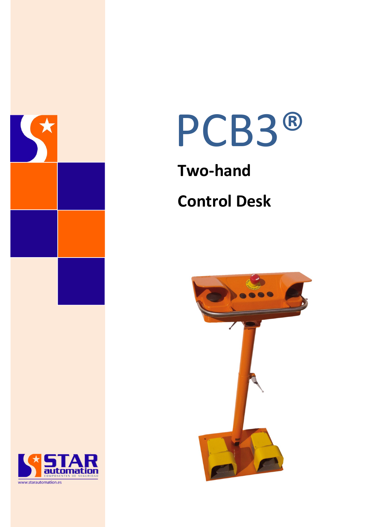



# **Two-hand Control Desk**



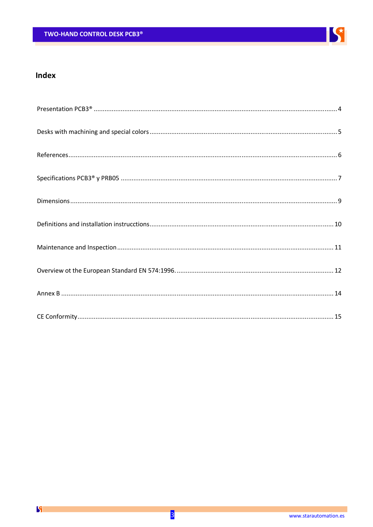

# Index

 $\mathbf{S}$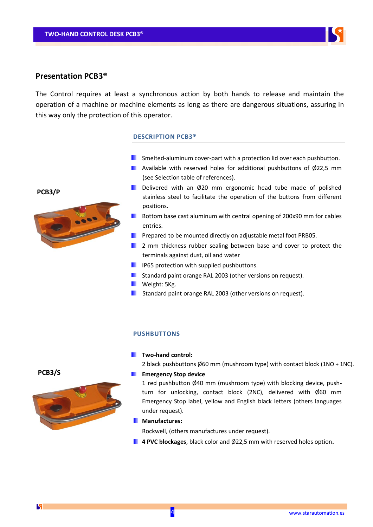

### **Presentation PCB3®**

The Control requires at least a synchronous action by both hands to release and maintain the operation of a machine or machine elements as long as there are dangerous situations, assuring in this way only the protection of this operator.

#### **DESCRIPTION PCB3®**

- **E** Smelted-aluminum cover-part with a protection lid over each pushbutton.
- **Available with reserved holes for additional pushbuttons of Ø22.5 mm** (see Selection table of references).
- Delivered with an Ø20 mm ergonomic head tube made of polished stainless steel to facilitate the operation of the buttons from different positions.
- $\blacksquare$  Bottom base cast aluminum with central opening of 200x90 mm for cables entries.
- **Prepared to be mounted directly on adjustable metal foot PRB05.**
- **2** mm thickness rubber sealing between base and cover to protect the terminals against dust, oil and water
- **IFF** IP65 protection with supplied pushbuttons.
- **Standard paint orange RAL 2003 (other versions on request).**
- **Weight: 5Kg.**
- Standard paint orange RAL 2003 (other versions on request).

#### **PUSHBUTTONS**

#### **Two-hand control:**

2 black pushbuttons Ø60 mm (mushroom type) with contact block (1NO + 1NC).

#### **Emergency Stop device**

1 red pushbutton  $\emptyset$ 40 mm (mushroom type) with blocking device, pushturn for unlocking, contact block (2NC), delivered with Ø60 mm Emergency Stop label, yellow and English black letters (others languages under request).

#### **Manufactures:**

Rockwell, (others manufactures under request).

**4 PVC blockages**, black color and Ø22,5 mm with reserved holes option**.**



K

# **PCB3/P**

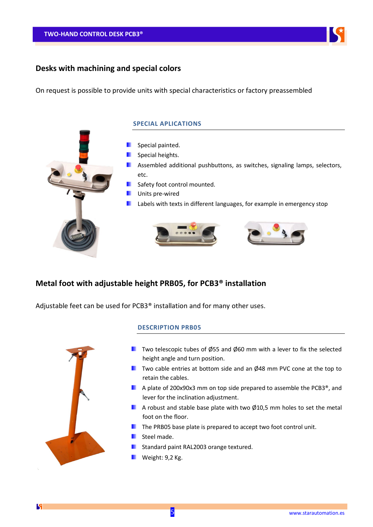

# **Desks with machining and special colors**

On request is possible to provide units with special characteristics or factory preassembled

#### **SPECIAL APLICATIONS**



# **Metal foot with adjustable height PRB05, for PCB3® installation**

Adjustable feet can be used for PCB3® installation and for many other uses.



 $\mathbf{K}$ 

#### **DESCRIPTION PRB05**

- $\blacksquare$  Two telescopic tubes of Ø55 and Ø60 mm with a lever to fix the selected height angle and turn position.
- $\blacksquare$  Two cable entries at bottom side and an Ø48 mm PVC cone at the top to retain the cables.
- A plate of 200x90x3 mm on top side prepared to assemble the PCB3<sup>®</sup>, and lever for the inclination adjustment.
- A robust and stable base plate with two  $\emptyset$ 10,5 mm holes to set the metal foot on the floor.
- $\blacksquare$  The PRB05 base plate is prepared to accept two foot control unit.
- **Steel made.**
- Standard paint RAL2003 orange textured.
- **Weight: 9,2 Kg.**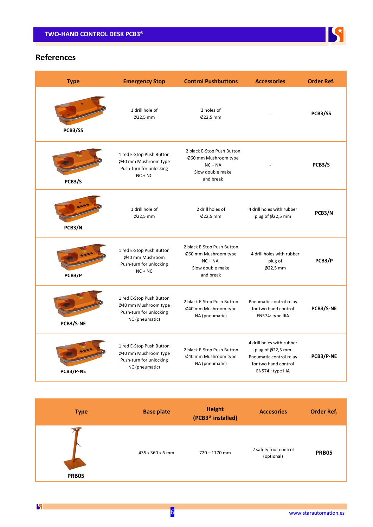

# **References**

| <b>Type</b> | <b>Emergency Stop</b>                                                                         | <b>Control Pushbuttons</b>                                                                         | <b>Accessories</b>                                                                                                    | <b>Order Ref.</b> |
|-------------|-----------------------------------------------------------------------------------------------|----------------------------------------------------------------------------------------------------|-----------------------------------------------------------------------------------------------------------------------|-------------------|
| PCB3/SS     | 1 drill hole of<br>$Ø22.5$ mm                                                                 | 2 holes of<br>$Ø22.5$ mm                                                                           |                                                                                                                       | PCB3/SS           |
| PCB3/S      | 1 red E-Stop Push Button<br>Ø40 mm Mushroom type<br>Push-turn for unlocking<br>$NC + NC$      | 2 black E-Stop Push Button<br>Ø60 mm Mushroom type<br>$NC + NA$<br>Slow double make<br>and break   |                                                                                                                       | PCB3/S            |
| PCB3/N      | 1 drill hole of<br>$Ø22.5$ mm                                                                 | 2 drill holes of<br>$Ø22.5$ mm                                                                     | 4 drill holes with rubber<br>plug of $\emptyset$ 22,5 mm                                                              | PCB3/N            |
| PCB3/P      | 1 red E-Stop Push Button<br>Ø40 mm Mushroom<br>Push-turn for unlocking<br>$NC + NC$           | 2 black E-Stop Push Button<br>Ø60 mm Mushroom type<br>$NC + NA$ .<br>Slow double make<br>and break | 4 drill holes with rubber<br>plug of<br>$Ø22,5$ mm                                                                    | PCB3/P            |
| PCB3/S-NE   | 1 red E-Stop Push Button<br>Ø40 mm Mushroom type<br>Push-turn for unlocking<br>NC (pneumatic) | 2 black E-Stop Push Button<br>Ø40 mm Mushroom type<br>NA (pneumatic)                               | Pneumatic control relay<br>for two hand control<br>EN574: type IIIA                                                   | PCB3/S-NE         |
| PCB3/P-NE   | 1 red E-Stop Push Button<br>Ø40 mm Mushroom type<br>Push-turn for unlocking<br>NC (pneumatic) | 2 black E-Stop Push Button<br>Ø40 mm Mushroom type<br>NA (pneumatic)                               | 4 drill holes with rubber<br>plug of Ø22,5 mm<br>Pneumatic control relay<br>for two hand control<br>EN574 : type IIIA | PCB3/P-NE         |

| <b>Type</b>  | <b>Base plate</b> | <b>Height</b><br>(PCB3 <sup>®</sup> installed) | <b>Accesories</b>                   | <b>Order Ref.</b> |
|--------------|-------------------|------------------------------------------------|-------------------------------------|-------------------|
| <b>PRB05</b> | 435 x 360 x 6 mm  | $720 - 1170$ mm                                | 2 safety foot control<br>(optional) | <b>PRB05</b>      |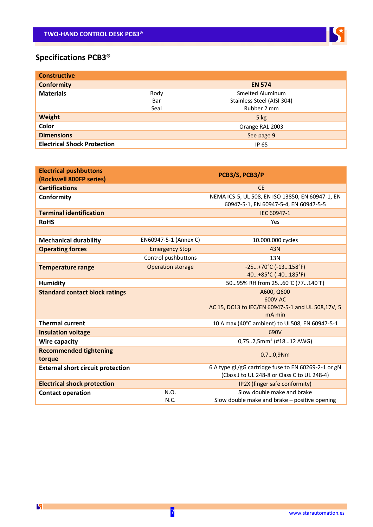

# **Specifications PCB3®**

| <b>Constructive</b>                |      |                            |
|------------------------------------|------|----------------------------|
| <b>Conformity</b>                  |      | <b>EN 574</b>              |
| <b>Materials</b>                   | Body | Smelted Aluminum           |
|                                    | Bar  | Stainless Steel (AISI 304) |
|                                    | Seal | Rubber 2 mm                |
| Weight                             |      | $5$ kg                     |
| Color                              |      | Orange RAL 2003            |
| <b>Dimensions</b>                  |      | See page 9                 |
| <b>Electrical Shock Protection</b> |      | IP 65                      |

| <b>Electrical pushbuttons</b><br>(Rockwell 800FP series) |                          | PCB3/S, PCB3/P                                                                            |
|----------------------------------------------------------|--------------------------|-------------------------------------------------------------------------------------------|
| <b>Certifications</b>                                    |                          | <b>CE</b>                                                                                 |
| Conformity                                               |                          | NEMA ICS-5, UL 508, EN ISO 13850, EN 60947-1, EN<br>60947-5-1, EN 60947-5-4, EN 60947-5-5 |
| <b>Terminal identification</b>                           |                          | IEC 60947-1                                                                               |
| <b>RoHS</b>                                              |                          | Yes                                                                                       |
|                                                          |                          |                                                                                           |
| <b>Mechanical durability</b>                             | EN60947-5-1 (Annex C)    | 10.000.000 cycles                                                                         |
| <b>Operating forces</b>                                  | <b>Emergency Stop</b>    | 43N                                                                                       |
|                                                          | Control pushbuttons      | 13N                                                                                       |
| <b>Temperature range</b>                                 | <b>Operation storage</b> | $-25+70°C$ (-13158°F)                                                                     |
|                                                          |                          | $-40+85°C$ (-40185°F)                                                                     |
| <b>Humidity</b>                                          |                          | 5095% RH from 2560°C (77140°F)                                                            |
| <b>Standard contact block ratings</b>                    |                          | A600, Q600                                                                                |
|                                                          |                          | 600V AC                                                                                   |
|                                                          |                          | AC 15, DC13 to IEC/EN 60947-5-1 and UL 508,17V, 5<br>mA min                               |
| <b>Thermal current</b>                                   |                          | 10 A max (40°C ambient) to UL508, EN 60947-5-1                                            |
| <b>Insulation voltage</b>                                |                          | 690V                                                                                      |
| Wire capacity                                            |                          | $0,752,5mm2$ (#1812 AWG)                                                                  |
| <b>Recommended tightening</b>                            |                          |                                                                                           |
| torque                                                   |                          | 0,70,9Nm                                                                                  |
| <b>External short circuit protection</b>                 |                          | 6 A type gL/gG cartridge fuse to EN 60269-2-1 or gN                                       |
|                                                          |                          | (Class J to UL 248-8 or Class C to UL 248-4)                                              |
| <b>Electrical shock protection</b>                       |                          | IP2X (finger safe conformity)                                                             |
| <b>Contact operation</b>                                 | N.O.                     | Slow double make and brake                                                                |
|                                                          | N.C.                     | Slow double make and brake - positive opening                                             |

 $\mathbf{S}$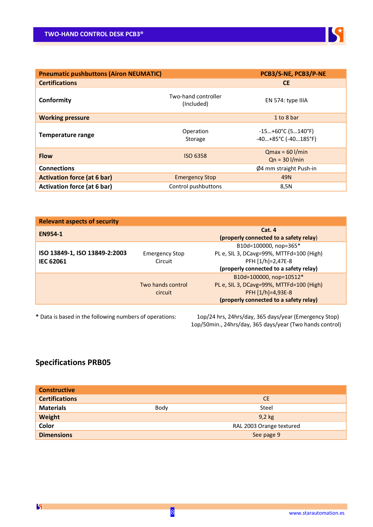

| <b>Pneumatic pushbuttons (Airon NEUMATIC)</b> |                                   | PCB3/S-NE, PCB3/P-NE                             |
|-----------------------------------------------|-----------------------------------|--------------------------------------------------|
| <b>Certifications</b>                         |                                   | <b>CE</b>                                        |
| Conformity                                    | Two-hand controller<br>(Included) | EN 574: type IIIA                                |
| <b>Working pressure</b>                       |                                   | 1 to 8 bar                                       |
| <b>Temperature range</b>                      | Operation<br>Storage              | $-15+60°C$ (5140°F)<br>$-40+85°C$ ( $-40185°F$ ) |
| <b>Flow</b>                                   | <b>ISO 6358</b>                   | $Qmax = 60$ $1/min$<br>$Qn = 30$ I/min           |
| <b>Connections</b>                            |                                   | $\varnothing$ 4 mm straight Push-in              |
| <b>Activation force (at 6 bar)</b>            | <b>Emergency Stop</b>             | 49N                                              |
| <b>Activation force (at 6 bar)</b>            | Control pushbuttons               | 8,5N                                             |

| <b>Relevant aspects of security</b>               |                                  |                                                                                                                                      |
|---------------------------------------------------|----------------------------------|--------------------------------------------------------------------------------------------------------------------------------------|
| <b>EN954-1</b>                                    |                                  | Cat. 4<br>(properly connected to a safety relay)                                                                                     |
| ISO 13849-1, ISO 13849-2:2003<br><b>IEC 62061</b> | <b>Emergency Stop</b><br>Circuit | B10d=100000, nop=365*<br>PL e, SIL 3, DCavg=99%, MTTFd=100 (High)<br>PFH [1/h]=2,47E-8<br>(properly connected to a safety relay)     |
|                                                   | Two hands control<br>circuit     | B10d=100000, nop=10512*<br>PL e, SIL 3, DCavg=99%, MTTFd=100 (High)<br>PFH $[1/h]=4.93E-8$<br>(properly connected to a safety relay) |

**\*** Data is based in the following numbers of operations: 1op/24 hrs, 24hrs/day, 365 days/year (Emergency Stop) 1op/50min., 24hrs/day, 365 days/year (Two hands control)

# **Specifications PRB05**

| <b>Constructive</b>   |      |                          |
|-----------------------|------|--------------------------|
| <b>Certifications</b> |      | <b>CE</b>                |
| <b>Materials</b>      | Body | Steel                    |
| Weight                |      | $9,2$ kg                 |
| Color                 |      | RAL 2003 Orange textured |
| <b>Dimensions</b>     |      | See page 9               |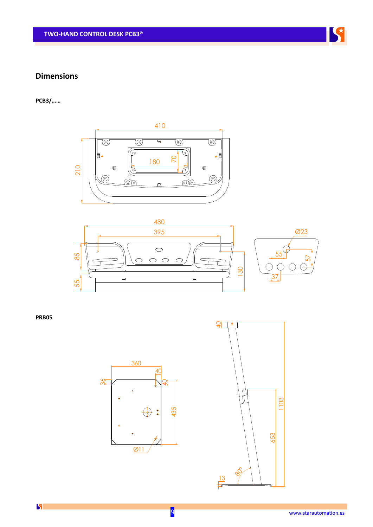# **Dimensions**

**PCB3/……**





**PRB05**





K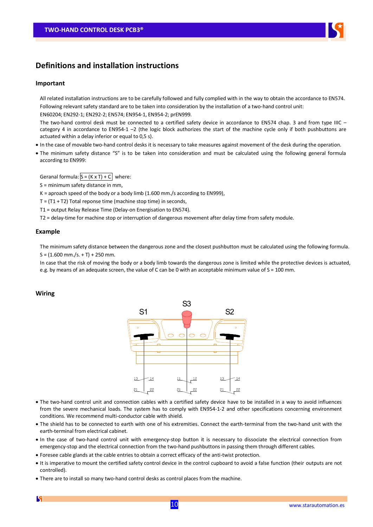# **Definitions and installation instructions**

#### **Important**

All related installation instructions are to be carefully followed and fully complied with in the way to obtain the accordance to EN574. Following relevant safety standard are to be taken into consideration by the installation of a two-hand control unit:

EN60204; EN292-1; EN292-2; EN574; EN954-1, EN954-2; prEN999.

The two-hand control desk must be connected to a certified safety device in accordance to EN574 chap. 3 and from type IIIC category 4 in accordance to EN954-1 –2 (the logic block authorizes the start of the machine cycle only if both pushbuttons are actuated within a delay inferior or equal to 0,5 s).

- In the case of movable two-hand control desks it is necessary to take measures against movement of the desk during the operation.
- The minimum safety distance "S" is to be taken into consideration and must be calculated using the following general formula according to EN999:

Geranal formula:  $S = (K \times T) + C$  where:

- S = minimum safety distance in mm,
- $K =$  aproach speed of the body or a body limb (1.600 mm./s according to EN999),
- $T = (T1 + T2)$  Total reponse time (machine stop time) in seconds,
- T1 = output Relay Release Time (Delay-on Energisation to EN574).
- T2 = delay-time for machine stop or interruption of dangerous movement after delay time from safety module.

#### **Example**

The minimum safety distance between the dangerous zone and the closest pushbutton must be calculated using the following formula.  $S = (1.600$  mm./s. + T) + 250 mm.

In case that the risk of moving the body or a body limb towards the dangerous zone is limited while the protective devices is actuated, e.g. by means of an adequate screen, the value of C can be 0 with an acceptable minimum value of S = 100 mm.

#### **Wiring**



- The two-hand control unit and connection cables with a certified safety device have to be installed in a way to avoid influences from the severe mechanical loads. The system has to comply with EN954-1-2 and other specifications concerning environment conditions. We recommend multi-conductor cable with shield.
- The shield has to be connected to earth with one of his extremities. Connect the earth-terminal from the two-hand unit with the earth-terminal from electrical cabinet.
- In the case of two-hand control unit with emergency-stop button it is necessary to dissociate the electrical connection from emergency-stop and the electrical connection from the two-hand pushbuttons in passing them through different cables.
- Foresee cable glands at the cable entries to obtain a correct efficacy of the anti-twist protection.
- It is imperative to mount the certified safety control device in the control cupboard to avoid a false function (their outputs are not controlled).
- There are to install so many two-hand control desks as control places from the machine.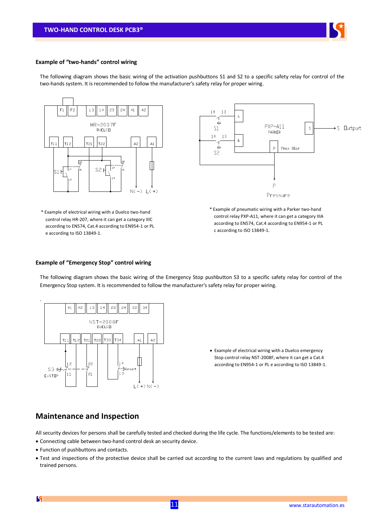

#### **Example of "two-hands" control wiring**

The following diagram shows the basic wiring of the activation pushbuttons S1 and S2 to a specific safety relay for control of the two-hands system. It is recommended to follow the manufacturer's safety relay for proper wiring.



\* Example of electrical wiring with a Duelco two-hand control relay HR-207, where it can get a category IIIC according to EN574, Cat.4 according to EN954-1 or PL e according to ISO 13849-1.



\* Example of pneumatic wiring with a Parker two-hand control relay PXP-A11, where it can get a category IIIA according to EN574, Cat.4 according to EN954-1 or PL c according to ISO 13849-1.

#### **Example of "Emergency Stop" control wiring**

The following diagram shows the basic wiring of the Emergency Stop pushbutton S3 to a specific safety relay for control of the Emergency Stop system. It is recommended to follow the manufacturer's safety relay for proper wiring.



 Example of electrical wiring with a Duelco emergency Stop control relay NST-2008F, where it can get a Cat.4 according to EN954-1 or PL e according to ISO 13849-1.

## **Maintenance and Inspection**

All security devices for persons shall be carefully tested and checked during the life cycle. The functions/elements to be tested are:

- Connecting cable between two-hand control desk an security device.
- Function of pushbuttons and contacts.
- Test and inspections of the protective device shall be carried out according to the current laws and regulations by qualified and trained persons.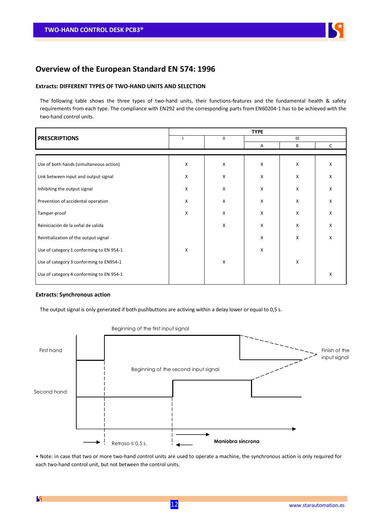

## **Overview of the European Standard EN 574: 1996**

#### **Extracts: DIFFERENT TYPES OF TWO-HAND UNITS AND SELECTION**

The following table shows the three types of two-hand units, their functions-features and the fundamental health & safety requirements from each type. The compliance with EN292 and the corresponding parts from EN60204-1 has to be achieved with the two-hand control units.

|                                          | <b>TYPE</b>    |              |     |   |              |
|------------------------------------------|----------------|--------------|-----|---|--------------|
| <b>PRESCRIPTIONS</b>                     |                | $\mathbf{H}$ | III |   |              |
|                                          |                |              | Α   | B | $\mathsf{C}$ |
|                                          |                |              |     |   |              |
| Use of both hands (simultaneous action)  | X              | X            | X   | X | X            |
| Link between input and output signal     | $\pmb{\times}$ | X            | X   | X | X            |
| Inhibiting the output signal             | X              | X            | X   | X | x            |
| Prevention of accidental operation       | X              | X            | X   | X | x            |
| Tamper-proof                             | X              | X            | X   | X | X            |
| Reiniciación de la señal de salida       |                | X            | X   | X | x            |
| Reinitialization of the output signal    |                |              | X   | X | X            |
| Use of category 1 conforming to EN 954-1 | X              |              | X   |   |              |
| Use of category 3 conforming to EN954-1  |                | X            |     | X |              |
| Use of category 4 conforming to EN 954-1 |                |              |     |   | X            |

#### **Extracts: Synchronous action**

The output signal is only generated if both pushbuttons are activing within a delay lower or equal to 0,5 s.



Beginning of the first input signal

• Note: in case that two or more two-hand control units are used to operate a machine, the synchronous action is only required for each two-hand control unit, but not between the control units.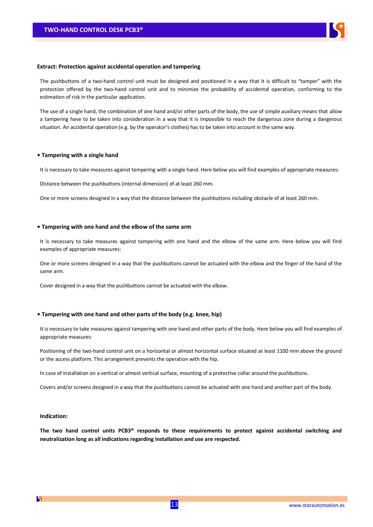

#### **Extract: Protection against accidental operation and tampering**

The pushbuttons of a two-hand control unit must be designed and positioned in a way that it is difficult to "tamper" with the protection offered by the two-hand control unit and to minimize the probability of accidental operation, conforming to the estimation of risk in the particular application.

The use of a single hand, the combination of one hand and/or other parts of the body, the use of simple auxiliary means that allow a tampering have to be taken into consideration in a way that it is impossible to reach the dangerous zone during a dangerous situation. An accidental operation (e.g. by the operator's clothes) has to be taken into account in the same way.

#### **• Tampering with a single hand**

It is necessary to take measures against tempering with a single hand. Here below you will find examples of appropriate measures:

Distance between the pushbuttons (internal dimension) of at least 260 mm.

One or more screens designed in a way that the distance between the pushbuttons including obstacle of at least 260 mm.

#### **• Tampering with one hand and the elbow of the same arm**

It is necessary to take measures against tampering with one hand and the elbow of the same arm. Here below you will find examples of appropriate measures:

One or more screens designed in a way that the pushbuttons cannot be actuated with the elbow and the finger of the hand of the same arm.

Cover designed in a way that the pushbuttons cannot be actuated with the elbow.

#### **• Tampering with one hand and other parts of the body (e.g. knee, hip)**

It is necessary to take measures against tampering with one hand and other parts of the body. Here below you will find examples of appropriate measures:

Positioning of the two-hand control unit on a horizontal or almost horizontal surface situated at least 1100 mm above the ground or the access platform. This arrangement prevents the operation with the hip.

In case of installation on a vertical or almost vertical surface, mounting of a protective collar around the pushbuttons.

Covers and/or screens designed in a way that the pushbuttons cannot be actuated with one hand and another part of the body.

#### **Indication:**

**The two hand control units PCB3® responds to these requirements to protect against accidental switching and neutralization long as all indications regarding installation and use are respected.**

13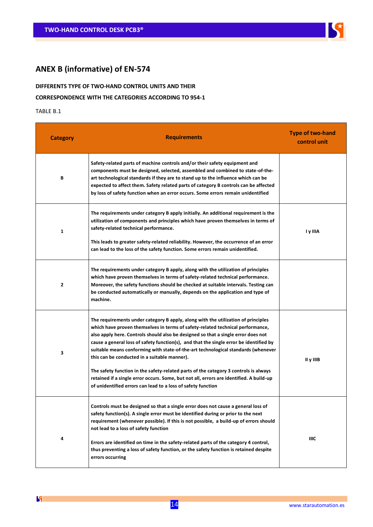

# **ANEX B (informative) of EN-574**

# **DIFFERENTS TYPE OF TWO-HAND CONTROL UNITS AND THEIR**

# **CORRESPONDENCE WITH THE CATEGORIES ACCORDING TO 954-1**

#### TABLE B.1

**F** 

| <b>Category</b> | <b>Requirements</b>                                                                                                                                                                                                                                                                                                                                                                                                                                                                                                                                                                                                                                                                                                                        | <b>Type of two-hand</b><br>control unit |
|-----------------|--------------------------------------------------------------------------------------------------------------------------------------------------------------------------------------------------------------------------------------------------------------------------------------------------------------------------------------------------------------------------------------------------------------------------------------------------------------------------------------------------------------------------------------------------------------------------------------------------------------------------------------------------------------------------------------------------------------------------------------------|-----------------------------------------|
| В               | Safety-related parts of machine controls and/or their safety equipment and<br>components must be designed, selected, assembled and combined to state-of-the-<br>art technological standards if they are to stand up to the influence which can be<br>expected to affect them. Safety related parts of category B controls can be affected<br>by loss of safety function when an error occurs. Some errors remain unidentified                                                                                                                                                                                                                                                                                                              |                                         |
| $\mathbf{1}$    | The requirements under category B apply initially. An additional requirement is the<br>utilization of components and principles which have proven themselves in terms of<br>safety-related technical performance.<br>This leads to greater safety-related reliability. However, the occurrence of an error<br>can lead to the loss of the safety function. Some errors remain unidentified.                                                                                                                                                                                                                                                                                                                                                | I y IIIA                                |
| 2               | The requirements under category B apply, along with the utilization of principles<br>which have proven themselves in terms of safety-related technical performance.<br>Moreover, the safety functions should be checked at suitable intervals. Testing can<br>be conducted automatically or manually, depends on the application and type of<br>machine.                                                                                                                                                                                                                                                                                                                                                                                   |                                         |
| 3               | The requirements under category B apply, along with the utilization of principles<br>which have proven themselves in terms of safety-related technical performance,<br>also apply here. Controls should also be designed so that a single error does not<br>cause a general loss of safety function(s), and that the single error be identified by<br>suitable means conforming with state-of-the-art technological standards (whenever<br>this can be conducted in a suitable manner).<br>The safety function in the safety-related parts of the category 3 controls is always<br>retained if a single error occurs. Some, but not all, errors are identified. A build-up<br>of unidentified errors can lead to a loss of safety function | II y IIIB                               |
| 4               | Controls must be designed so that a single error does not cause a general loss of<br>safety function(s). A single error must be identified during or prior to the next<br>requirement (whenever possible). If this is not possible, a build-up of errors should<br>not lead to a loss of safety function<br>Errors are identified on time in the safety-related parts of the category 4 control,<br>thus preventing a loss of safety function, or the safety function is retained despite<br>errors occurring                                                                                                                                                                                                                              | IIIC                                    |

5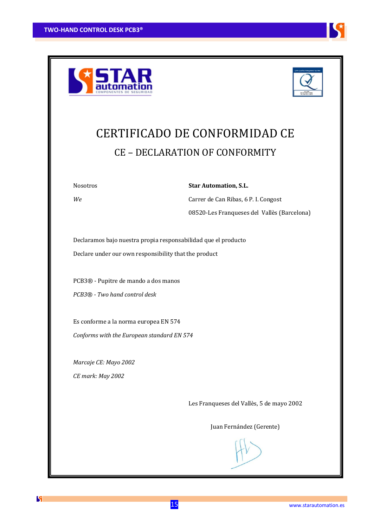





# CERTIFICADO DE CONFORMIDAD CE CE – DECLARATION OF CONFORMITY

Nosotros **Star Automation, S.L.**

*We* Carrer de Can Ribas, 6 P. I. Congost 08520-Les Franqueses del Vallès (Barcelona)

Declaramos bajo nuestra propia responsabilidad que el producto Declare under our own responsibility that the product

PCB3® - Pupitre de mando a dos manos *PCB3® - Two hand control desk*

Es conforme a la norma europea EN 574 *Conforms with the European standard EN 574*

*Marcaje CE: Mayo 2002 CE mark: May 2002*

Les Franqueses del Vallès, 5 de mayo 2002

Juan Fernández (Gerente)